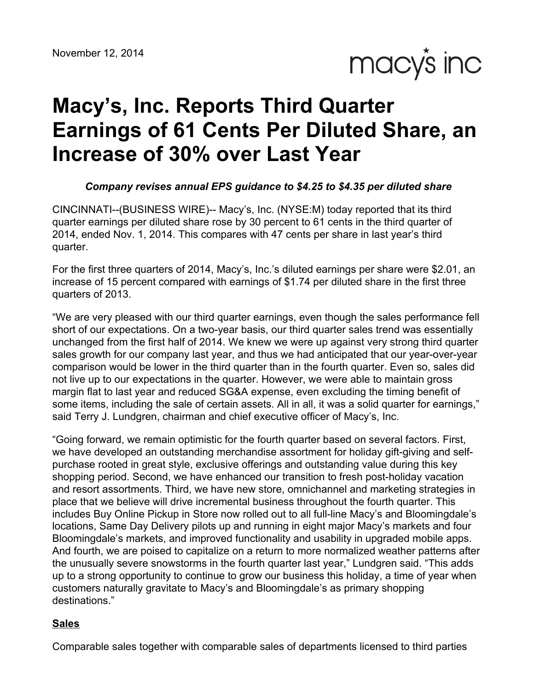macy's inc

# **Macy's, Inc. Reports Third Quarter Earnings of 61 Cents Per Diluted Share, an Increase of 30% over Last Year**

#### *Company revises annual EPS guidance to \$4.25 to \$4.35 per diluted share*

CINCINNATI--(BUSINESS WIRE)-- Macy's, Inc. (NYSE:M) today reported that its third quarter earnings per diluted share rose by 30 percent to 61 cents in the third quarter of 2014, ended Nov. 1, 2014. This compares with 47 cents per share in last year's third quarter.

For the first three quarters of 2014, Macy's, Inc.'s diluted earnings per share were \$2.01, an increase of 15 percent compared with earnings of \$1.74 per diluted share in the first three quarters of 2013.

"We are very pleased with our third quarter earnings, even though the sales performance fell short of our expectations. On a two-year basis, our third quarter sales trend was essentially unchanged from the first half of 2014. We knew we were up against very strong third quarter sales growth for our company last year, and thus we had anticipated that our year-over-year comparison would be lower in the third quarter than in the fourth quarter. Even so, sales did not live up to our expectations in the quarter. However, we were able to maintain gross margin flat to last year and reduced SG&A expense, even excluding the timing benefit of some items, including the sale of certain assets. All in all, it was a solid quarter for earnings," said Terry J. Lundgren, chairman and chief executive officer of Macy's, Inc.

"Going forward, we remain optimistic for the fourth quarter based on several factors. First, we have developed an outstanding merchandise assortment for holiday gift-giving and selfpurchase rooted in great style, exclusive offerings and outstanding value during this key shopping period. Second, we have enhanced our transition to fresh post-holiday vacation and resort assortments. Third, we have new store, omnichannel and marketing strategies in place that we believe will drive incremental business throughout the fourth quarter. This includes Buy Online Pickup in Store now rolled out to all full-line Macy's and Bloomingdale's locations, Same Day Delivery pilots up and running in eight major Macy's markets and four Bloomingdale's markets, and improved functionality and usability in upgraded mobile apps. And fourth, we are poised to capitalize on a return to more normalized weather patterns after the unusually severe snowstorms in the fourth quarter last year," Lundgren said. "This adds up to a strong opportunity to continue to grow our business this holiday, a time of year when customers naturally gravitate to Macy's and Bloomingdale's as primary shopping destinations."

#### **Sales**

Comparable sales together with comparable sales of departments licensed to third parties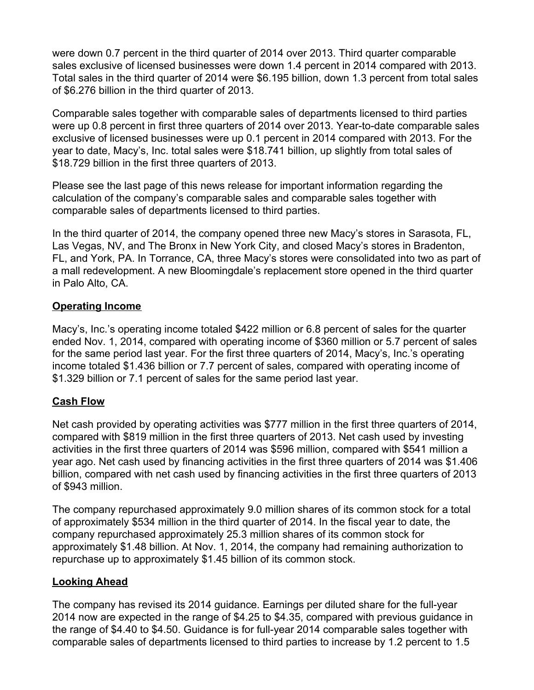were down 0.7 percent in the third quarter of 2014 over 2013. Third quarter comparable sales exclusive of licensed businesses were down 1.4 percent in 2014 compared with 2013. Total sales in the third quarter of 2014 were \$6.195 billion, down 1.3 percent from total sales of \$6.276 billion in the third quarter of 2013.

Comparable sales together with comparable sales of departments licensed to third parties were up 0.8 percent in first three quarters of 2014 over 2013. Year-to-date comparable sales exclusive of licensed businesses were up 0.1 percent in 2014 compared with 2013. For the year to date, Macy's, Inc. total sales were \$18.741 billion, up slightly from total sales of \$18.729 billion in the first three quarters of 2013.

Please see the last page of this news release for important information regarding the calculation of the company's comparable sales and comparable sales together with comparable sales of departments licensed to third parties.

In the third quarter of 2014, the company opened three new Macy's stores in Sarasota, FL, Las Vegas, NV, and The Bronx in New York City, and closed Macy's stores in Bradenton, FL, and York, PA. In Torrance, CA, three Macy's stores were consolidated into two as part of a mall redevelopment. A new Bloomingdale's replacement store opened in the third quarter in Palo Alto, CA.

#### **Operating Income**

Macy's, Inc.'s operating income totaled \$422 million or 6.8 percent of sales for the quarter ended Nov. 1, 2014, compared with operating income of \$360 million or 5.7 percent of sales for the same period last year. For the first three quarters of 2014, Macy's, Inc.'s operating income totaled \$1.436 billion or 7.7 percent of sales, compared with operating income of \$1.329 billion or 7.1 percent of sales for the same period last year.

## **Cash Flow**

Net cash provided by operating activities was \$777 million in the first three quarters of 2014, compared with \$819 million in the first three quarters of 2013. Net cash used by investing activities in the first three quarters of 2014 was \$596 million, compared with \$541 million a year ago. Net cash used by financing activities in the first three quarters of 2014 was \$1.406 billion, compared with net cash used by financing activities in the first three quarters of 2013 of \$943 million.

The company repurchased approximately 9.0 million shares of its common stock for a total of approximately \$534 million in the third quarter of 2014. In the fiscal year to date, the company repurchased approximately 25.3 million shares of its common stock for approximately \$1.48 billion. At Nov. 1, 2014, the company had remaining authorization to repurchase up to approximately \$1.45 billion of its common stock.

#### **Looking Ahead**

The company has revised its 2014 guidance. Earnings per diluted share for the full-year 2014 now are expected in the range of \$4.25 to \$4.35, compared with previous guidance in the range of \$4.40 to \$4.50. Guidance is for full-year 2014 comparable sales together with comparable sales of departments licensed to third parties to increase by 1.2 percent to 1.5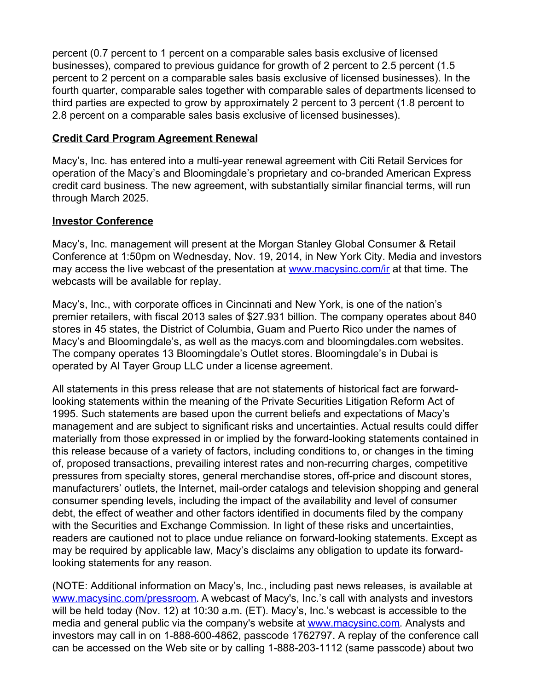percent (0.7 percent to 1 percent on a comparable sales basis exclusive of licensed businesses), compared to previous guidance for growth of 2 percent to 2.5 percent (1.5 percent to 2 percent on a comparable sales basis exclusive of licensed businesses). In the fourth quarter, comparable sales together with comparable sales of departments licensed to third parties are expected to grow by approximately 2 percent to 3 percent (1.8 percent to 2.8 percent on a comparable sales basis exclusive of licensed businesses).

## **Credit Card Program Agreement Renewal**

Macy's, Inc. has entered into a multi-year renewal agreement with Citi Retail Services for operation of the Macy's and Bloomingdale's proprietary and co-branded American Express credit card business. The new agreement, with substantially similar financial terms, will run through March 2025.

## **Investor Conference**

Macy's, Inc. management will present at the Morgan Stanley Global Consumer & Retail Conference at 1:50pm on Wednesday, Nov. 19, 2014, in New York City. Media and investors may access the live webcast of the presentation at [www.macysinc.com/ir](http://www.macysinc.com/ir) at that time. The webcasts will be available for replay.

Macy's, Inc., with corporate offices in Cincinnati and New York, is one of the nation's premier retailers, with fiscal 2013 sales of \$27.931 billion. The company operates about 840 stores in 45 states, the District of Columbia, Guam and Puerto Rico under the names of Macy's and Bloomingdale's, as well as the macys.com and bloomingdales.com websites. The company operates 13 Bloomingdale's Outlet stores. Bloomingdale's in Dubai is operated by Al Tayer Group LLC under a license agreement.

All statements in this press release that are not statements of historical fact are forwardlooking statements within the meaning of the Private Securities Litigation Reform Act of 1995. Such statements are based upon the current beliefs and expectations of Macy's management and are subject to significant risks and uncertainties. Actual results could differ materially from those expressed in or implied by the forward-looking statements contained in this release because of a variety of factors, including conditions to, or changes in the timing of, proposed transactions, prevailing interest rates and non-recurring charges, competitive pressures from specialty stores, general merchandise stores, off-price and discount stores, manufacturers' outlets, the Internet, mail-order catalogs and television shopping and general consumer spending levels, including the impact of the availability and level of consumer debt, the effect of weather and other factors identified in documents filed by the company with the Securities and Exchange Commission. In light of these risks and uncertainties, readers are cautioned not to place undue reliance on forward-looking statements. Except as may be required by applicable law, Macy's disclaims any obligation to update its forwardlooking statements for any reason.

(NOTE: Additional information on Macy's, Inc., including past news releases, is available at [www.macysinc.com/pressroom](http://www.macysinc.com/pressroom). A webcast of Macy's, Inc.'s call with analysts and investors will be held today (Nov. 12) at 10:30 a.m. (ET). Macy's, Inc.'s webcast is accessible to the media and general public via the company's website at [www.macysinc.com](http://www.macysinc.com). Analysts and investors may call in on 1-888-600-4862, passcode 1762797. A replay of the conference call can be accessed on the Web site or by calling 1-888-203-1112 (same passcode) about two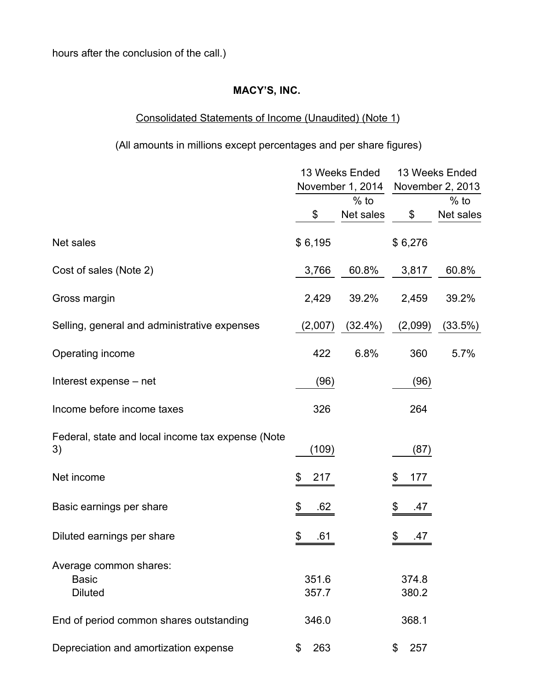hours after the conclusion of the call.)

## **MACY'S, INC.**

## Consolidated Statements of Income (Unaudited) (Note 1)

(All amounts in millions except percentages and per share figures)

|                                                         | 13 Weeks Ended   |           | 13 Weeks Ended |                  |  |
|---------------------------------------------------------|------------------|-----------|----------------|------------------|--|
|                                                         | November 1, 2014 |           |                | November 2, 2013 |  |
|                                                         |                  | $%$ to    |                | $%$ to           |  |
|                                                         | \$               | Net sales | \$             | Net sales        |  |
| Net sales                                               | \$6,195          |           | \$6,276        |                  |  |
| Cost of sales (Note 2)                                  | 3,766            | 60.8%     | 3,817          | 60.8%            |  |
| Gross margin                                            | 2,429            | 39.2%     | 2,459          | 39.2%            |  |
| Selling, general and administrative expenses            | (2,007)          | (32.4%)   | (2,099)        | (33.5%)          |  |
| Operating income                                        | 422              | 6.8%      | 360            | 5.7%             |  |
| Interest expense – net                                  | (96)             |           | (96)           |                  |  |
| Income before income taxes                              | 326              |           | 264            |                  |  |
| Federal, state and local income tax expense (Note<br>3) | (109)            |           | (87)           |                  |  |
| Net income                                              | \$<br>217        |           | 177<br>\$      |                  |  |
| Basic earnings per share                                | \$<br>.62        |           | \$<br>.47      |                  |  |
| Diluted earnings per share                              | \$<br>.61        |           | \$<br>.47      |                  |  |
| Average common shares:                                  |                  |           |                |                  |  |
| <b>Basic</b><br><b>Diluted</b>                          | 351.6<br>357.7   |           | 374.8<br>380.2 |                  |  |
| End of period common shares outstanding                 | 346.0            |           | 368.1          |                  |  |
| Depreciation and amortization expense                   | 263<br>\$        |           | 257<br>\$      |                  |  |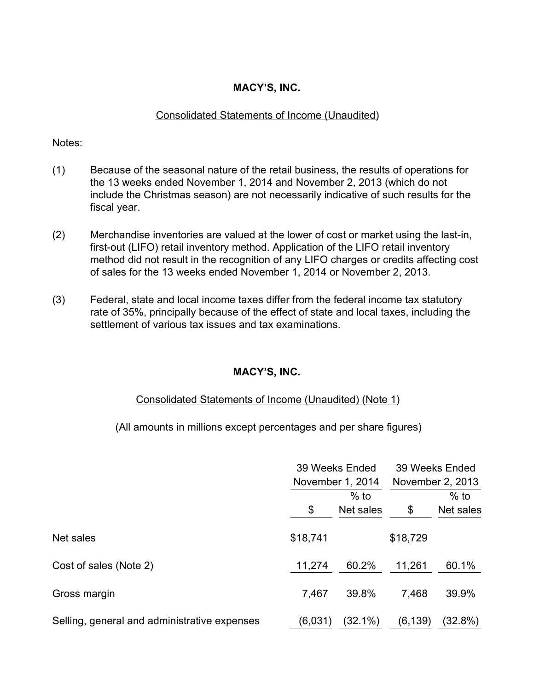### Consolidated Statements of Income (Unaudited)

Notes:

- (1) Because of the seasonal nature of the retail business, the results of operations for the 13 weeks ended November 1, 2014 and November 2, 2013 (which do not include the Christmas season) are not necessarily indicative of such results for the fiscal year.
- (2) Merchandise inventories are valued at the lower of cost or market using the last-in, first-out (LIFO) retail inventory method. Application of the LIFO retail inventory method did not result in the recognition of any LIFO charges or credits affecting cost of sales for the 13 weeks ended November 1, 2014 or November 2, 2013.
- (3) Federal, state and local income taxes differ from the federal income tax statutory rate of 35%, principally because of the effect of state and local taxes, including the settlement of various tax issues and tax examinations.

## **MACY'S, INC.**

## Consolidated Statements of Income (Unaudited) (Note 1)

(All amounts in millions except percentages and per share figures)

|                                              |          | 39 Weeks Ended<br>November 1, 2014 | 39 Weeks Ended<br>November 2, 2013 |            |
|----------------------------------------------|----------|------------------------------------|------------------------------------|------------|
|                                              |          | $%$ to                             | $%$ to                             |            |
|                                              | \$       | Net sales                          | \$                                 | Net sales  |
| Net sales                                    | \$18,741 |                                    | \$18,729                           |            |
| Cost of sales (Note 2)                       | 11,274   | 60.2%                              | 11,261                             | 60.1%      |
| Gross margin                                 | 7,467    | 39.8%                              | 7,468                              | 39.9%      |
| Selling, general and administrative expenses | (6,031)  | $(32.1\%)$                         | (6, 139)                           | $(32.8\%)$ |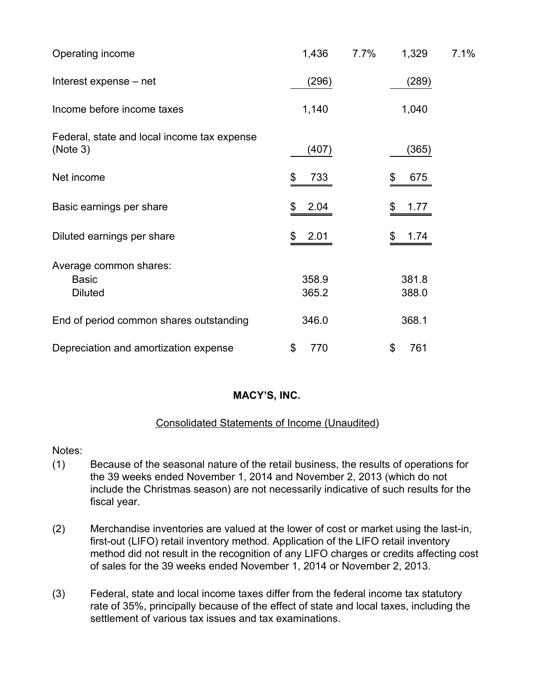| Operating income                                         | 1,436          | 7.7% | 1,329          | 7.1% |
|----------------------------------------------------------|----------------|------|----------------|------|
| Interest expense - net                                   | (296)          |      | (289)          |      |
| Income before income taxes                               | 1,140          |      | 1,040          |      |
| Federal, state and local income tax expense<br>(Note 3)  | (407)          |      | (365)          |      |
| Net income                                               | 733<br>\$      |      | 675<br>\$      |      |
| Basic earnings per share                                 | \$<br>2.04     |      | 1.77           |      |
| Diluted earnings per share                               | \$<br>2.01     |      | \$<br>1.74     |      |
| Average common shares:<br><b>Basic</b><br><b>Diluted</b> | 358.9<br>365.2 |      | 381.8<br>388.0 |      |
| End of period common shares outstanding                  | 346.0          |      | 368.1          |      |
| Depreciation and amortization expense                    | \$<br>770      |      | 761<br>\$      |      |

#### Consolidated Statements of Income (Unaudited)

Notes:

- (1) Because of the seasonal nature of the retail business, the results of operations for the 39 weeks ended November 1, 2014 and November 2, 2013 (which do not include the Christmas season) are not necessarily indicative of such results for the fiscal year.
- (2) Merchandise inventories are valued at the lower of cost or market using the last-in, first-out (LIFO) retail inventory method. Application of the LIFO retail inventory method did not result in the recognition of any LIFO charges or credits affecting cost of sales for the 39 weeks ended November 1, 2014 or November 2, 2013.
- (3) Federal, state and local income taxes differ from the federal income tax statutory rate of 35%, principally because of the effect of state and local taxes, including the settlement of various tax issues and tax examinations.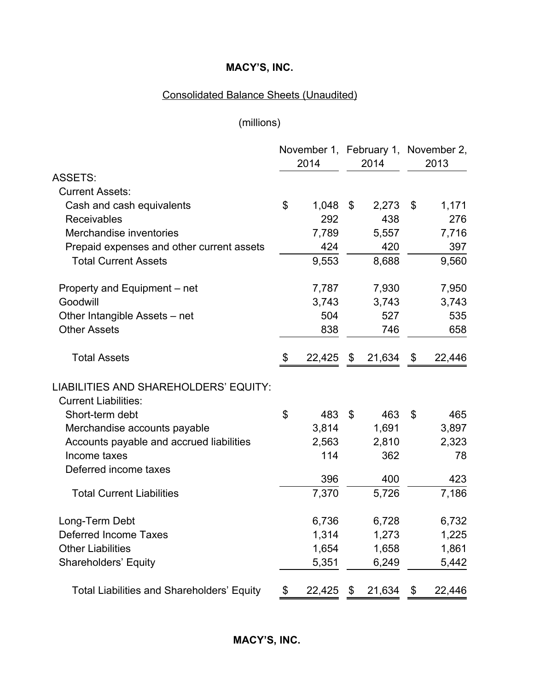## Consolidated Balance Sheets (Unaudited)

## (millions)

|                                                   | November 1, February 1, November 2,<br>2014 |                | 2014   |                | 2013   |
|---------------------------------------------------|---------------------------------------------|----------------|--------|----------------|--------|
| <b>ASSETS:</b>                                    |                                             |                |        |                |        |
| <b>Current Assets:</b>                            |                                             |                |        |                |        |
| Cash and cash equivalents                         | \$<br>1,048                                 | \$             | 2,273  | \$             | 1,171  |
| Receivables                                       | 292                                         |                | 438    |                | 276    |
| Merchandise inventories                           | 7,789                                       |                | 5,557  |                | 7,716  |
| Prepaid expenses and other current assets         | 424                                         |                | 420    |                | 397    |
| <b>Total Current Assets</b>                       | 9,553                                       |                | 8,688  |                | 9,560  |
| Property and Equipment - net                      | 7,787                                       |                | 7,930  |                | 7,950  |
| Goodwill                                          | 3,743                                       |                | 3,743  |                | 3,743  |
| Other Intangible Assets - net                     | 504                                         |                | 527    |                | 535    |
| <b>Other Assets</b>                               | 838                                         |                | 746    |                | 658    |
| <b>Total Assets</b>                               | \$<br>22,425                                | \$             | 21,634 | \$             | 22,446 |
| LIABILITIES AND SHAREHOLDERS' EQUITY:             |                                             |                |        |                |        |
| <b>Current Liabilities:</b>                       |                                             |                |        |                |        |
| Short-term debt                                   | \$<br>483                                   | $\mathfrak{L}$ | 463    | $\mathfrak{S}$ | 465    |
| Merchandise accounts payable                      | 3,814                                       |                | 1,691  |                | 3,897  |
| Accounts payable and accrued liabilities          | 2,563                                       |                | 2,810  |                | 2,323  |
| Income taxes                                      | 114                                         |                | 362    |                | 78     |
| Deferred income taxes                             |                                             |                |        |                |        |
|                                                   | 396                                         |                | 400    |                | 423    |
| <b>Total Current Liabilities</b>                  | 7,370                                       |                | 5,726  |                | 7,186  |
| Long-Term Debt                                    | 6,736                                       |                | 6,728  |                | 6,732  |
| <b>Deferred Income Taxes</b>                      | 1,314                                       |                | 1,273  |                | 1,225  |
| <b>Other Liabilities</b>                          | 1,654                                       |                | 1,658  |                | 1,861  |
| <b>Shareholders' Equity</b>                       | 5,351                                       |                | 6,249  |                | 5,442  |
| <b>Total Liabilities and Shareholders' Equity</b> | \$<br>22,425                                | \$             | 21,634 | \$             | 22,446 |

**MACY'S, INC.**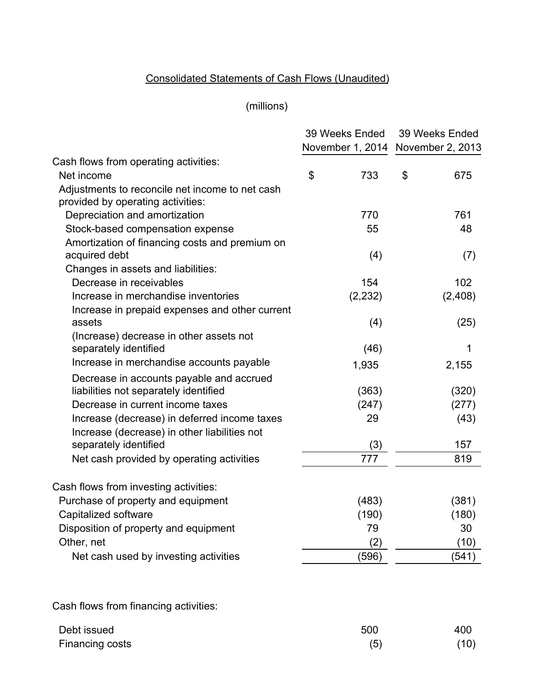## Consolidated Statements of Cash Flows (Unaudited)

(millions)

|                                                 | 39 Weeks Ended            |          | 39 Weeks Ended |                  |
|-------------------------------------------------|---------------------------|----------|----------------|------------------|
|                                                 | November 1, 2014          |          |                | November 2, 2013 |
| Cash flows from operating activities:           |                           |          |                |                  |
| Net income                                      | $\boldsymbol{\mathsf{S}}$ | 733      | \$             | 675              |
| Adjustments to reconcile net income to net cash |                           |          |                |                  |
| provided by operating activities:               |                           |          |                |                  |
| Depreciation and amortization                   |                           | 770      |                | 761              |
| Stock-based compensation expense                |                           | 55       |                | 48               |
| Amortization of financing costs and premium on  |                           |          |                |                  |
| acquired debt                                   |                           | (4)      |                | (7)              |
| Changes in assets and liabilities:              |                           |          |                |                  |
| Decrease in receivables                         |                           | 154      |                | 102              |
| Increase in merchandise inventories             |                           | (2, 232) |                | (2, 408)         |
| Increase in prepaid expenses and other current  |                           |          |                |                  |
| assets                                          |                           | (4)      |                | (25)             |
| (Increase) decrease in other assets not         |                           |          |                |                  |
| separately identified                           |                           | (46)     |                | 1                |
| Increase in merchandise accounts payable        |                           | 1,935    |                | 2,155            |
| Decrease in accounts payable and accrued        |                           |          |                |                  |
| liabilities not separately identified           |                           | (363)    |                | (320)            |
| Decrease in current income taxes                |                           | (247)    |                | (277)            |
| Increase (decrease) in deferred income taxes    |                           | 29       |                | (43)             |
| Increase (decrease) in other liabilities not    |                           |          |                |                  |
| separately identified                           |                           | (3)      |                | 157              |
| Net cash provided by operating activities       |                           | 777      |                | 819              |
|                                                 |                           |          |                |                  |
| Cash flows from investing activities:           |                           |          |                |                  |
| Purchase of property and equipment              |                           | (483)    |                | (381)            |
| Capitalized software                            |                           | (190)    |                | (180)            |
| Disposition of property and equipment           |                           | 79       |                | 30               |
| Other, net                                      |                           | (2)      |                | (10)             |
| Net cash used by investing activities           |                           | (596)    |                | (541)            |
|                                                 |                           |          |                |                  |

Cash flows from financing activities:

| Debt issued     | 500 | 400  |
|-----------------|-----|------|
| Financing costs | (5  | (10) |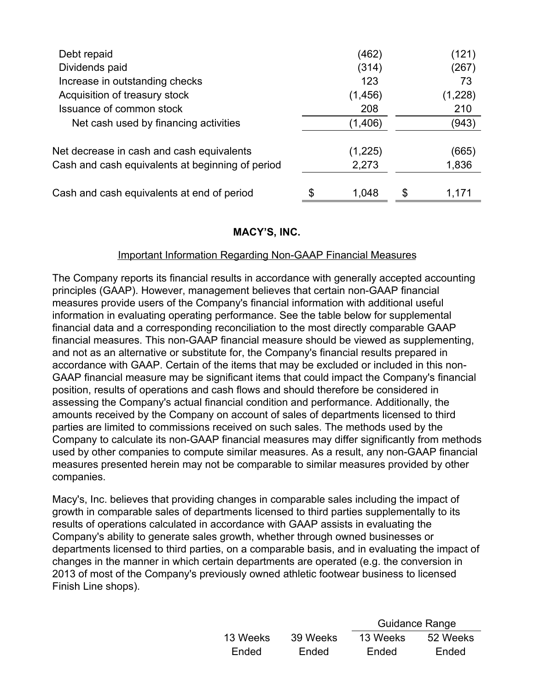| Debt repaid                                      | (462)       | (121)   |
|--------------------------------------------------|-------------|---------|
| Dividends paid                                   | (314)       | (267)   |
| Increase in outstanding checks                   | 123         | 73      |
| Acquisition of treasury stock                    | (1, 456)    | (1,228) |
| Issuance of common stock                         | 208         | 210     |
| Net cash used by financing activities            | (1,406)     | (943)   |
| Net decrease in cash and cash equivalents        | (1,225)     | (665)   |
| Cash and cash equivalents at beginning of period | 2,273       | 1,836   |
| Cash and cash equivalents at end of period       | \$<br>1,048 | 1,171   |
|                                                  |             |         |

#### Important Information Regarding Non-GAAP Financial Measures

The Company reports its financial results in accordance with generally accepted accounting principles (GAAP). However, management believes that certain non-GAAP financial measures provide users of the Company's financial information with additional useful information in evaluating operating performance. See the table below for supplemental financial data and a corresponding reconciliation to the most directly comparable GAAP financial measures. This non-GAAP financial measure should be viewed as supplementing, and not as an alternative or substitute for, the Company's financial results prepared in accordance with GAAP. Certain of the items that may be excluded or included in this non-GAAP financial measure may be significant items that could impact the Company's financial position, results of operations and cash flows and should therefore be considered in assessing the Company's actual financial condition and performance. Additionally, the amounts received by the Company on account of sales of departments licensed to third parties are limited to commissions received on such sales. The methods used by the Company to calculate its non-GAAP financial measures may differ significantly from methods used by other companies to compute similar measures. As a result, any non-GAAP financial measures presented herein may not be comparable to similar measures provided by other companies.

Macy's, Inc. believes that providing changes in comparable sales including the impact of growth in comparable sales of departments licensed to third parties supplementally to its results of operations calculated in accordance with GAAP assists in evaluating the Company's ability to generate sales growth, whether through owned businesses or departments licensed to third parties, on a comparable basis, and in evaluating the impact of changes in the manner in which certain departments are operated (e.g. the conversion in 2013 of most of the Company's previously owned athletic footwear business to licensed Finish Line shops).

|          |          | Guidance Range |          |  |  |
|----------|----------|----------------|----------|--|--|
| 13 Weeks | 39 Weeks | 13 Weeks       | 52 Weeks |  |  |
| Ended    | Ended    | Ended          | Ended    |  |  |

Guidance Range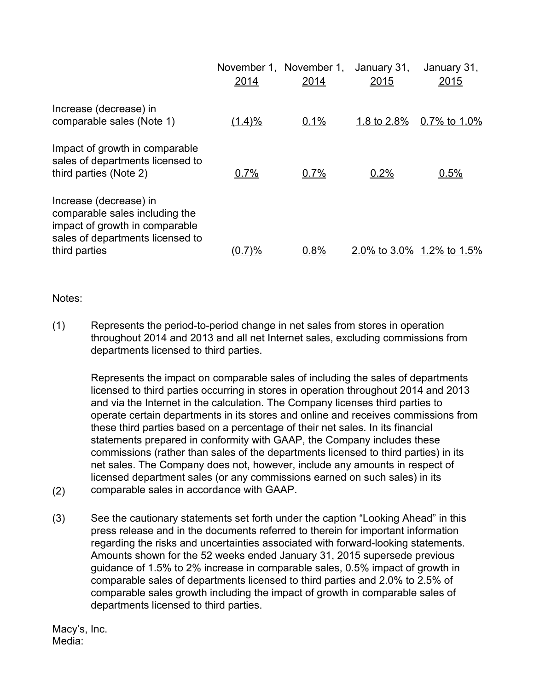|                                                                                                                                                 | 2014      | November 1, November 1,<br>2014 | January 31,<br>2015 | January 31,<br>2015       |
|-------------------------------------------------------------------------------------------------------------------------------------------------|-----------|---------------------------------|---------------------|---------------------------|
| Increase (decrease) in<br>comparable sales (Note 1)                                                                                             | $(1.4)\%$ | 0.1%                            | 1.8 to 2.8%         | 0.7% to $1.0\%$           |
| Impact of growth in comparable<br>sales of departments licensed to<br>third parties (Note 2)                                                    | 0.7%      | 0.7%                            | 0.2%                | 0.5%                      |
| Increase (decrease) in<br>comparable sales including the<br>impact of growth in comparable<br>sales of departments licensed to<br>third parties | $(0.7)$ % | 0.8%                            |                     | 2.0% to 3.0% 1.2% to 1.5% |

#### Notes:

(2)

(1) Represents the period-to-period change in net sales from stores in operation throughout 2014 and 2013 and all net Internet sales, excluding commissions from departments licensed to third parties.

Represents the impact on comparable sales of including the sales of departments licensed to third parties occurring in stores in operation throughout 2014 and 2013 and via the Internet in the calculation. The Company licenses third parties to operate certain departments in its stores and online and receives commissions from these third parties based on a percentage of their net sales. In its financial statements prepared in conformity with GAAP, the Company includes these commissions (rather than sales of the departments licensed to third parties) in its net sales. The Company does not, however, include any amounts in respect of licensed department sales (or any commissions earned on such sales) in its comparable sales in accordance with GAAP.

(3) See the cautionary statements set forth under the caption "Looking Ahead" in this press release and in the documents referred to therein for important information regarding the risks and uncertainties associated with forward-looking statements. Amounts shown for the 52 weeks ended January 31, 2015 supersede previous guidance of 1.5% to 2% increase in comparable sales, 0.5% impact of growth in comparable sales of departments licensed to third parties and 2.0% to 2.5% of comparable sales growth including the impact of growth in comparable sales of departments licensed to third parties.

Macy's, Inc. Media: